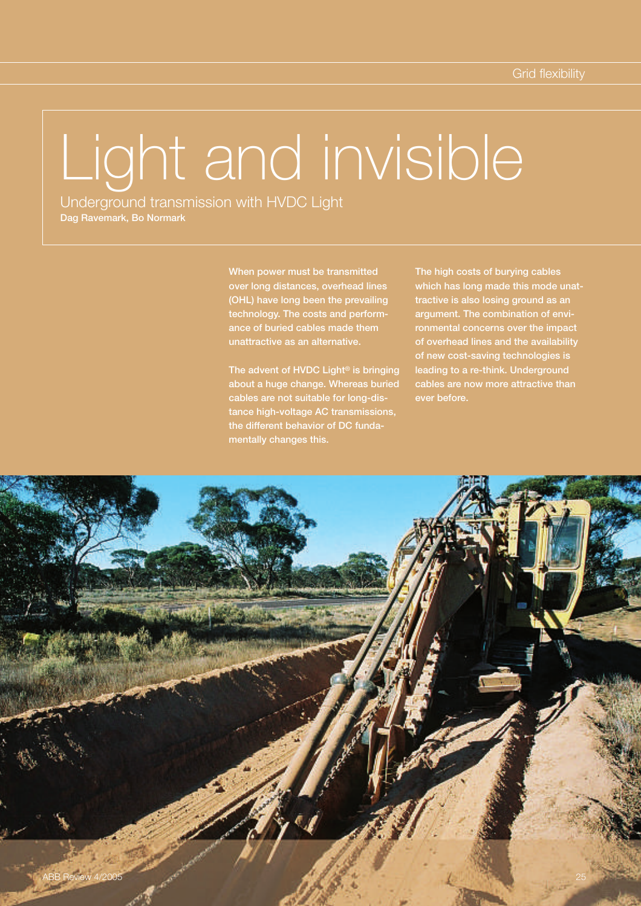# Light and invisible

Underground transmission with HVDC Light Dag Ravemark, Bo Normark

> over long distances, overhead lines (OHL) have long been the prevailing technology. The costs and performance of buried cables made them unattractive as an alternative.

The advent of HVDC Light<sup>®</sup> is bringing about a huge change. Whereas buried cables are not suitable for long-distance high-voltage AC transmissions, the different behavior of DC fundamentally changes this.

The high costs of burying cables which has long made this mode unattractive is also losing ground as an argument. The combination of environmental concerns over the impact of overhead lines and the availability of new cost-saving technologies is leading to a re-think. Underground cables are now more attractive than ever before.

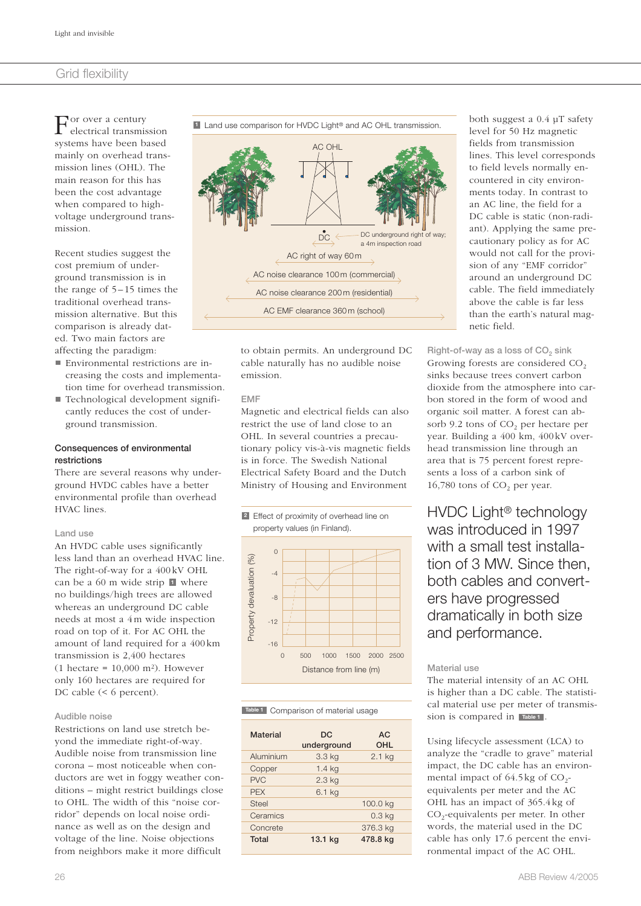For over a century<br>systems have been based or over a century electrical transmission mainly on overhead transmission lines (OHL). The main reason for this has been the cost advantage when compared to highvoltage underground transmission.

Recent studies suggest the cost premium of underground transmission is in the range of  $5-15$  times the traditional overhead transmission alternative. But this comparison is already dated. Two main factors are affecting the paradigm:

- Environmental restrictions are increasing the costs and implementation time for overhead transmission.
- Technological development significantly reduces the cost of underground transmission.

#### Consequences of environmental restrictions

There are several reasons why underground HVDC cables have a better environmental profile than overhead HVAC lines.

#### Land use

An HVDC cable uses significantly less land than an overhead HVAC line. The right-of-way for a 400 kV OHL can be a  $60$  m wide strip  $\blacksquare$  where no buildings/high trees are allowed whereas an underground DC cable needs at most a 4 m wide inspection road on top of it. For AC OHL the amount of land required for a 400 km transmission is 2,400 hectares  $(1 \text{ hectare} = 10.000 \text{ m}^2)$ . However only 160 hectares are required for DC cable (< 6 percent).

#### Audible noise

Restrictions on land use stretch beyond the immediate right-of-way. Audible noise from transmission line corona – most noticeable when conductors are wet in foggy weather conditions – might restrict buildings close to OHL. The width of this "noise corridor" depends on local noise ordinance as well as on the design and voltage of the line. Noise objections from neighbors make it more difficult



to obtain permits. An underground DC cable naturally has no audible noise emission.

#### EMF

Magnetic and electrical fields can also restrict the use of land close to an OHL. In several countries a precautionary policy vis-à-vis magnetic fields is in force. The Swedish National Electrical Safety Board and the Dutch Ministry of Housing and Environment



**Table 1** Comparison of material usage

| <b>Material</b> | DC.<br>underground | AC.<br><b>OHL</b> |
|-----------------|--------------------|-------------------|
| Aluminium       | 3.3 kg             | $2.1$ kg          |
| Copper          | $1.4$ kg           |                   |
| <b>PVC</b>      | $2.3$ kg           |                   |
| <b>PEX</b>      | 6.1 kg             |                   |
| Steel           |                    | 100.0 kg          |
| Ceramics        |                    | 0.3 <sub>kq</sub> |
| Concrete        |                    | 376.3 kg          |
| Total           | 13.1 <sub>kg</sub> | 478.8 kg          |

both suggest a 0.4 µT safety level for 50 Hz magnetic fields from transmission lines. This level corresponds to field levels normally encountered in city environments today. In contrast to an AC line, the field for a DC cable is static (non-radiant). Applying the same precautionary policy as for AC would not call for the provision of any "EMF corridor" around an underground DC cable. The field immediately above the cable is far less than the earth's natural magnetic field.

Right-of-way as a loss of  $CO<sub>2</sub>$  sink Growing forests are considered  $CO<sub>2</sub>$ sinks because trees convert carbon dioxide from the atmosphere into carbon stored in the form of wood and organic soil matter. A forest can absorb 9.2 tons of  $CO<sub>2</sub>$  per hectare per year. Building a 400 km, 400 kV overhead transmission line through an area that is 75 percent forest represents a loss of a carbon sink of 16,780 tons of  $CO<sub>2</sub>$  per year.

HVDC Light® technology was introduced in 1997 with a small test installation of 3 MW. Since then, both cables and converters have progressed dramatically in both size and performance.

#### Material use

The material intensity of an AC OHL is higher than a DC cable. The statistical material use per meter of transmission is compared in **Table 1**.

Using lifecycle assessment (LCA) to analyze the "cradle to grave" material impact, the DC cable has an environmental impact of  $64.5 \text{ kg}$  of CO<sub>2</sub>equivalents per meter and the AC OHL has an impact of 365.4 kg of CO<sub>2</sub>-equivalents per meter. In other words, the material used in the DC cable has only 17.6 percent the environmental impact of the AC OHL.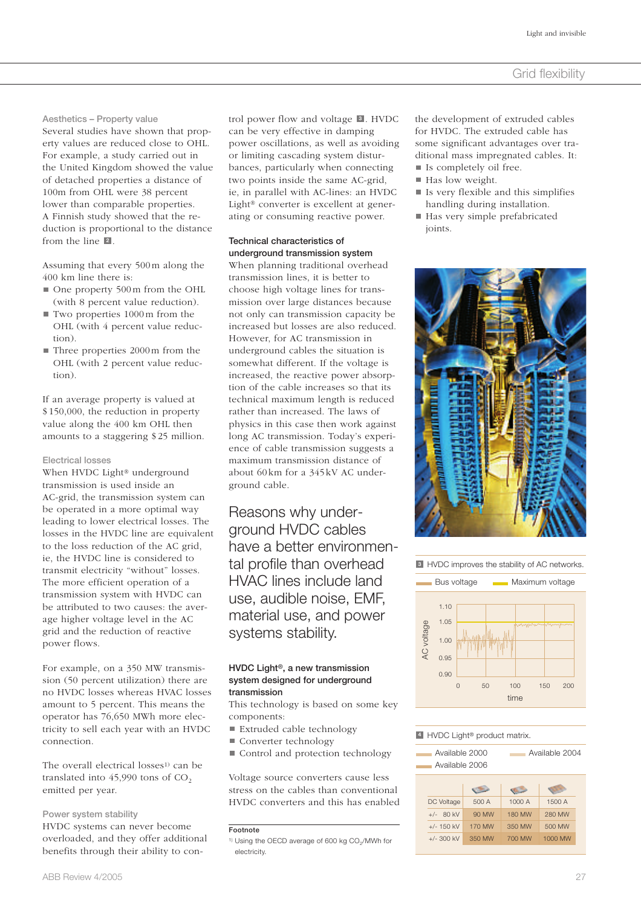Aesthetics – Property value

Several studies have shown that property values are reduced close to OHL. For example, a study carried out in the United Kingdom showed the value of detached properties a distance of 100m from OHL were 38 percent lower than comparable properties. A Finnish study showed that the reduction is proportional to the distance from the line  $\blacksquare$ .

Assuming that every 500 m along the 400 km line there is:

- One property 500 m from the OHL (with 8 percent value reduction).
- Two properties 1000 m from the OHL (with 4 percent value reduction).
- Three properties 2000 m from the OHL (with 2 percent value reduction).

If an average property is valued at \$ 150,000, the reduction in property value along the 400 km OHL then amounts to a staggering \$ 25 million.

#### Electrical losses

When HVDC Light<sup>®</sup> underground transmission is used inside an AC-grid, the transmission system can be operated in a more optimal way leading to lower electrical losses. The losses in the HVDC line are equivalent to the loss reduction of the AC grid, ie, the HVDC line is considered to transmit electricity "without" losses. The more efficient operation of a transmission system with HVDC can be attributed to two causes: the average higher voltage level in the AC grid and the reduction of reactive power flows.

For example, on a 350 MW transmission (50 percent utilization) there are no HVDC losses whereas HVAC losses amount to 5 percent. This means the operator has 76,650 MWh more electricity to sell each year with an HVDC connection.

The overall electrical losses<sup>1)</sup> can be translated into  $45,990$  tons of  $CO<sub>2</sub>$ emitted per year.

#### Power system stability

HVDC systems can never become overloaded, and they offer additional benefits through their ability to control power flow and voltage **8**. HVDC can be very effective in damping power oscillations, as well as avoiding or limiting cascading system disturbances, particularly when connecting two points inside the same AC-grid, ie, in parallel with AC-lines: an HVDC Light® converter is excellent at generating or consuming reactive power.

#### Technical characteristics of underground transmission system

When planning traditional overhead transmission lines, it is better to choose high voltage lines for transmission over large distances because not only can transmission capacity be increased but losses are also reduced. However, for AC transmission in underground cables the situation is somewhat different. If the voltage is increased, the reactive power absorption of the cable increases so that its technical maximum length is reduced rather than increased. The laws of physics in this case then work against long AC transmission. Today's experience of cable transmission suggests a maximum transmission distance of about 60 km for a 345 kV AC underground cable.

Reasons why underground HVDC cables have a better environmental profile than overhead HVAC lines include land use, audible noise, EMF, material use, and power systems stability.

#### HVDC Light®, a new transmission system designed for underground transmission

This technology is based on some key components:

- Extruded cable technology
- Converter technology
- Control and protection technology

Voltage source converters cause less stress on the cables than conventional HVDC converters and this has enabled **<sup>3</sup>** the development of extruded cables for HVDC. The extruded cable has some significant advantages over traditional mass impregnated cables. It: ■ Is completely oil free.

- Has low weight.
- Is very flexible and this simplifies handling during installation.
- Has very simple prefabricated joints.



 $\blacksquare$  HVDC improves the stability of AC networks.



#### **4** HVDC Light<sup>®</sup> product matrix.

| Available 2000<br>Available 2006 | Available 2004 |
|----------------------------------|----------------|
|                                  |                |

| stress on the cables than conventional                                  |              | <b>CIRC</b> | <b>OF A</b> | <b>COLOR</b> |
|-------------------------------------------------------------------------|--------------|-------------|-------------|--------------|
| HVDC converters and this has enabled                                    | DC Voltage   | 500 A       | 1000 A      | 1500 A       |
|                                                                         | $+/-$ 80 kV  | 90 MW       | 180 MW      | 280 MW       |
| Footnote                                                                | $+/- 150$ kV | 170 MW      | 350 MW      | 500 MW       |
| <sup>1)</sup> Using the OECD average of 600 kg CO <sub>2</sub> /MWh for | $+/-$ 300 kV | 350 MW      | 700 MW      | 1000 MW      |

<sup>&</sup>lt;sup>1)</sup> Using the OECD average of 600 kg CO<sub>2</sub>/MWh for electricity.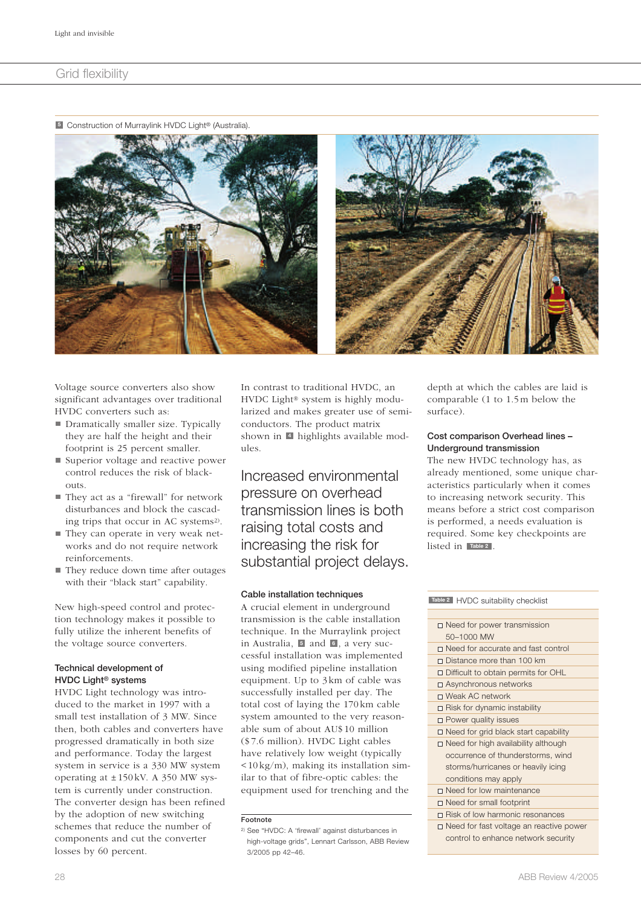Construction of Murraylink HVDC Light® (Australia). **<sup>5</sup>**



Voltage source converters also show significant advantages over traditional HVDC converters such as:

- Dramatically smaller size. Typically they are half the height and their footprint is 25 percent smaller.
- Superior voltage and reactive power control reduces the risk of blackouts.
- They act as a "firewall" for network disturbances and block the cascading trips that occur in AC systems<sup>2)</sup>.
- They can operate in very weak networks and do not require network reinforcements.
- They reduce down time after outages with their "black start" capability.

New high-speed control and protection technology makes it possible to fully utilize the inherent benefits of the voltage source converters.

# Technical development of HVDC Light® systems

HVDC Light technology was introduced to the market in 1997 with a small test installation of 3 MW. Since then, both cables and converters have progressed dramatically in both size and performance. Today the largest system in service is a 330 MW system operating at ± 150 kV. A 350 MW system is currently under construction. The converter design has been refined by the adoption of new switching schemes that reduce the number of components and cut the converter losses by 60 percent.

In contrast to traditional HVDC, an HVDC Light® system is highly modularized and makes greater use of semiconductors. The product matrix shown in 4 highlights available modules.

Increased environmental pressure on overhead transmission lines is both raising total costs and increasing the risk for substantial project delays.

#### Cable installation techniques

A crucial element in underground transmission is the cable installation technique. In the Murraylink project in Australia, **5** and **6**, a very successful installation was implemented using modified pipeline installation equipment. Up to 3 km of cable was successfully installed per day. The total cost of laying the 170 km cable system amounted to the very reasonable sum of about AU\$ 10 million (\$ 7.6 million). HVDC Light cables have relatively low weight (typically < 10 kg/m), making its installation similar to that of fibre-optic cables: the equipment used for trenching and the

depth at which the cables are laid is comparable (1 to 1.5 m below the surface).

#### Cost comparison Overhead lines – Underground transmission

The new HVDC technology has, as already mentioned, some unique characteristics particularly when it comes to increasing network security. This means before a strict cost comparison is performed, a needs evaluation is required. Some key checkpoints are listed in **Table 2** .

| Table 2 HVDC suitability checklist             |
|------------------------------------------------|
|                                                |
| $\Box$ Need for power transmission             |
| 50-1000 MW                                     |
| $\Box$ Need for accurate and fast control      |
| Distance more than 100 km                      |
| $\Box$ Difficult to obtain permits for OHL     |
| □ Asynchronous networks                        |
| □ Weak AC network                              |
| $\Box$ Risk for dynamic instability            |
| $\Box$ Power quality issues                    |
| $\Box$ Need for grid black start capability    |
| $\Box$ Need for high availability although     |
| occurrence of thunderstorms, wind              |
| storms/hurricanes or heavily icing             |
| conditions may apply                           |
| $\Box$ Need for low maintenance                |
| $\Box$ Need for small footprint                |
| Risk of low harmonic resonances                |
| $\Box$ Need for fast voltage an reactive power |
| control to enhance network security            |
|                                                |

Footnote

<sup>2)</sup> See "HVDC: A 'firewall' against disturbances in high-voltage grids", Lennart Carlsson, ABB Review 3/2005 pp 42–46.